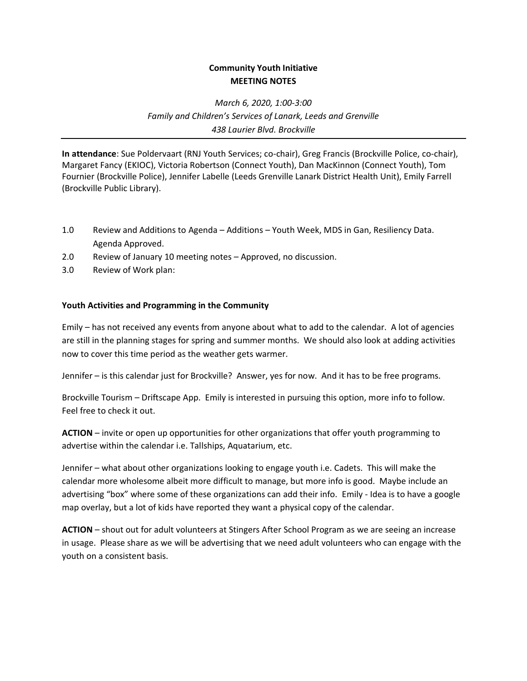## **Community Youth Initiative MEETING NOTES**

*March 6, 2020, 1:00-3:00 Family and Children's Services of Lanark, Leeds and Grenville 438 Laurier Blvd. Brockville*

**In attendance**: Sue Poldervaart (RNJ Youth Services; co-chair), Greg Francis (Brockville Police, co-chair), Margaret Fancy (EKIOC), Victoria Robertson (Connect Youth), Dan MacKinnon (Connect Youth), Tom Fournier (Brockville Police), Jennifer Labelle (Leeds Grenville Lanark District Health Unit), Emily Farrell (Brockville Public Library).

- 1.0 Review and Additions to Agenda Additions Youth Week, MDS in Gan, Resiliency Data. Agenda Approved.
- 2.0 Review of January 10 meeting notes Approved, no discussion.
- 3.0 Review of Work plan:

## **Youth Activities and Programming in the Community**

Emily – has not received any events from anyone about what to add to the calendar. A lot of agencies are still in the planning stages for spring and summer months. We should also look at adding activities now to cover this time period as the weather gets warmer.

Jennifer – is this calendar just for Brockville? Answer, yes for now. And it has to be free programs.

Brockville Tourism – Driftscape App. Emily is interested in pursuing this option, more info to follow. Feel free to check it out.

**ACTION** – invite or open up opportunities for other organizations that offer youth programming to advertise within the calendar i.e. Tallships, Aquatarium, etc.

Jennifer – what about other organizations looking to engage youth i.e. Cadets. This will make the calendar more wholesome albeit more difficult to manage, but more info is good. Maybe include an advertising "box" where some of these organizations can add their info. Emily - Idea is to have a google map overlay, but a lot of kids have reported they want a physical copy of the calendar.

**ACTION** – shout out for adult volunteers at Stingers After School Program as we are seeing an increase in usage. Please share as we will be advertising that we need adult volunteers who can engage with the youth on a consistent basis.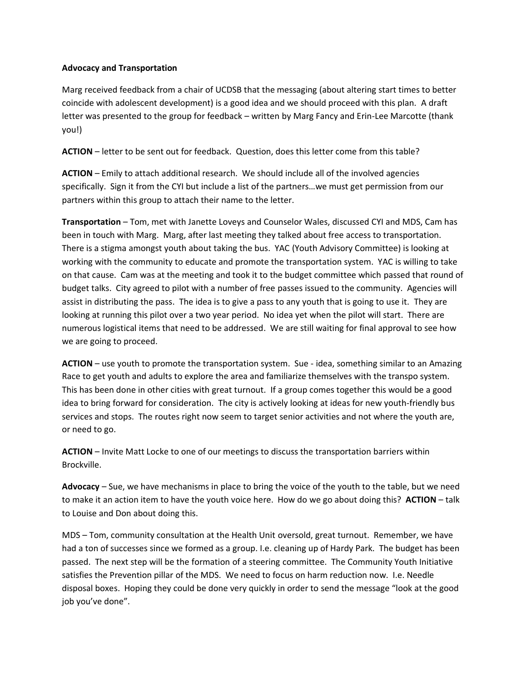## **Advocacy and Transportation**

Marg received feedback from a chair of UCDSB that the messaging (about altering start times to better coincide with adolescent development) is a good idea and we should proceed with this plan. A draft letter was presented to the group for feedback – written by Marg Fancy and Erin-Lee Marcotte (thank you!)

**ACTION** – letter to be sent out for feedback. Question, does this letter come from this table?

**ACTION** – Emily to attach additional research. We should include all of the involved agencies specifically. Sign it from the CYI but include a list of the partners…we must get permission from our partners within this group to attach their name to the letter.

**Transportation** – Tom, met with Janette Loveys and Counselor Wales, discussed CYI and MDS, Cam has been in touch with Marg. Marg, after last meeting they talked about free access to transportation. There is a stigma amongst youth about taking the bus. YAC (Youth Advisory Committee) is looking at working with the community to educate and promote the transportation system. YAC is willing to take on that cause. Cam was at the meeting and took it to the budget committee which passed that round of budget talks. City agreed to pilot with a number of free passes issued to the community. Agencies will assist in distributing the pass. The idea is to give a pass to any youth that is going to use it. They are looking at running this pilot over a two year period. No idea yet when the pilot will start. There are numerous logistical items that need to be addressed. We are still waiting for final approval to see how we are going to proceed.

**ACTION** – use youth to promote the transportation system. Sue - idea, something similar to an Amazing Race to get youth and adults to explore the area and familiarize themselves with the transpo system. This has been done in other cities with great turnout. If a group comes together this would be a good idea to bring forward for consideration. The city is actively looking at ideas for new youth-friendly bus services and stops. The routes right now seem to target senior activities and not where the youth are, or need to go.

**ACTION** – Invite Matt Locke to one of our meetings to discuss the transportation barriers within Brockville.

**Advocacy** – Sue, we have mechanisms in place to bring the voice of the youth to the table, but we need to make it an action item to have the youth voice here. How do we go about doing this? **ACTION** – talk to Louise and Don about doing this.

MDS – Tom, community consultation at the Health Unit oversold, great turnout. Remember, we have had a ton of successes since we formed as a group. I.e. cleaning up of Hardy Park. The budget has been passed. The next step will be the formation of a steering committee. The Community Youth Initiative satisfies the Prevention pillar of the MDS. We need to focus on harm reduction now. I.e. Needle disposal boxes. Hoping they could be done very quickly in order to send the message "look at the good job you've done".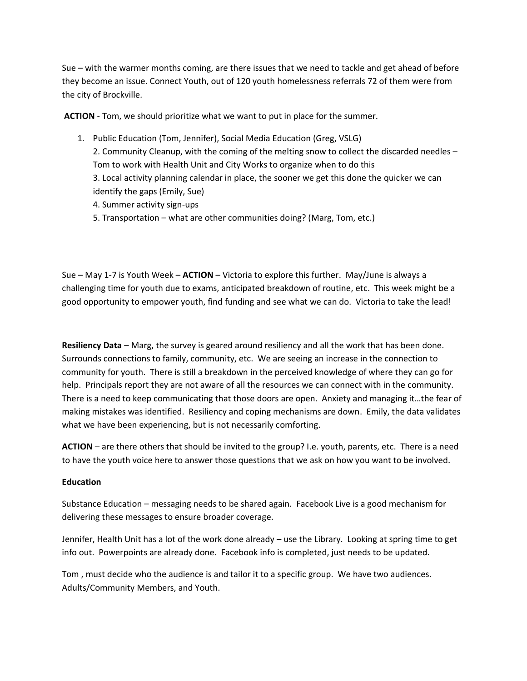Sue – with the warmer months coming, are there issues that we need to tackle and get ahead of before they become an issue. Connect Youth, out of 120 youth homelessness referrals 72 of them were from the city of Brockville.

**ACTION** - Tom, we should prioritize what we want to put in place for the summer.

- 1. Public Education (Tom, Jennifer), Social Media Education (Greg, VSLG) 2. Community Cleanup, with the coming of the melting snow to collect the discarded needles – Tom to work with Health Unit and City Works to organize when to do this 3. Local activity planning calendar in place, the sooner we get this done the quicker we can identify the gaps (Emily, Sue)
	- 4. Summer activity sign-ups
	- 5. Transportation what are other communities doing? (Marg, Tom, etc.)

Sue – May 1-7 is Youth Week – **ACTION** – Victoria to explore this further. May/June is always a challenging time for youth due to exams, anticipated breakdown of routine, etc. This week might be a good opportunity to empower youth, find funding and see what we can do. Victoria to take the lead!

**Resiliency Data** – Marg, the survey is geared around resiliency and all the work that has been done. Surrounds connections to family, community, etc. We are seeing an increase in the connection to community for youth. There is still a breakdown in the perceived knowledge of where they can go for help. Principals report they are not aware of all the resources we can connect with in the community. There is a need to keep communicating that those doors are open. Anxiety and managing it…the fear of making mistakes was identified. Resiliency and coping mechanisms are down. Emily, the data validates what we have been experiencing, but is not necessarily comforting.

**ACTION** – are there others that should be invited to the group? I.e. youth, parents, etc. There is a need to have the youth voice here to answer those questions that we ask on how you want to be involved.

## **Education**

Substance Education – messaging needs to be shared again. Facebook Live is a good mechanism for delivering these messages to ensure broader coverage.

Jennifer, Health Unit has a lot of the work done already – use the Library. Looking at spring time to get info out. Powerpoints are already done. Facebook info is completed, just needs to be updated.

Tom , must decide who the audience is and tailor it to a specific group. We have two audiences. Adults/Community Members, and Youth.